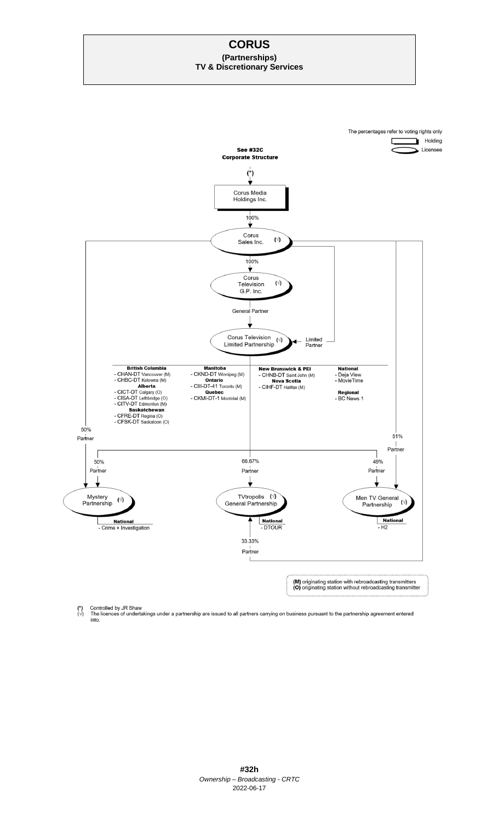# **CORUS (Partnerships) TV & Discretionary Services**



Controlled by JR Shaw<br>The licences of undertakings under a partnership are issued to all partners carrying on business pursuant to the partnership agreement entered<br>into.  $\binom{*}{\vee}$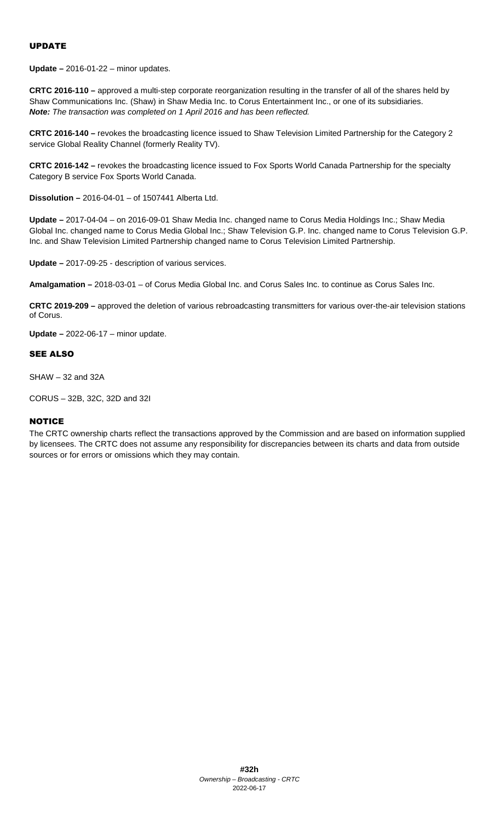## UPDATE

**Update –** 2016-01-22 – minor updates.

**CRTC 2016-110 –** approved a multi-step corporate reorganization resulting in the transfer of all of the shares held by Shaw Communications Inc. (Shaw) in Shaw Media Inc. to Corus Entertainment Inc., or one of its subsidiaries. *Note: The transaction was completed on 1 April 2016 and has been reflected.* 

**CRTC 2016-140 –** revokes the broadcasting licence issued to Shaw Television Limited Partnership for the Category 2 service Global Reality Channel (formerly Reality TV).

**CRTC 2016-142 –** revokes the broadcasting licence issued to Fox Sports World Canada Partnership for the specialty Category B service Fox Sports World Canada.

**Dissolution –** 2016-04-01 – of 1507441 Alberta Ltd.

**Update –** 2017-04-04 – on 2016-09-01 Shaw Media Inc. changed name to Corus Media Holdings Inc.; Shaw Media Global Inc. changed name to Corus Media Global Inc.; Shaw Television G.P. Inc. changed name to Corus Television G.P. Inc. and Shaw Television Limited Partnership changed name to Corus Television Limited Partnership.

**Update –** 2017-09-25 - description of various services.

**Amalgamation –** 2018-03-01 – of Corus Media Global Inc. and Corus Sales Inc. to continue as Corus Sales Inc.

**CRTC 2019-209 –** approved the deletion of various rebroadcasting transmitters for various over-the-air television stations of Corus.

**Update –** 2022-06-17 – minor update.

#### SEE ALSO

SHAW – 32 and 32A

CORUS – 32B, 32C, 32D and 32I

#### **NOTICE**

The CRTC ownership charts reflect the transactions approved by the Commission and are based on information supplied by licensees. The CRTC does not assume any responsibility for discrepancies between its charts and data from outside sources or for errors or omissions which they may contain.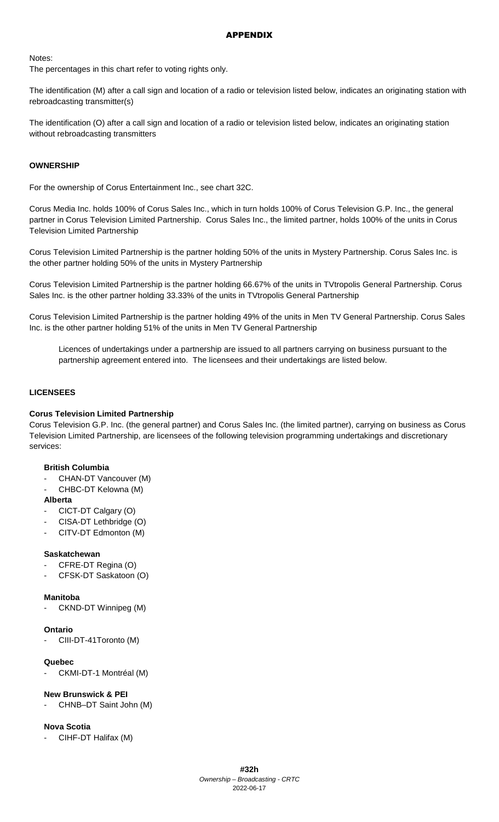### APPENDIX

Notes:

The percentages in this chart refer to voting rights only.

The identification (M) after a call sign and location of a radio or television listed below, indicates an originating station with rebroadcasting transmitter(s)

The identification (O) after a call sign and location of a radio or television listed below, indicates an originating station without rebroadcasting transmitters

### **OWNERSHIP**

For the ownership of Corus Entertainment Inc., see chart 32C.

Corus Media Inc. holds 100% of Corus Sales Inc., which in turn holds 100% of Corus Television G.P. Inc., the general partner in Corus Television Limited Partnership. Corus Sales Inc., the limited partner, holds 100% of the units in Corus Television Limited Partnership

Corus Television Limited Partnership is the partner holding 50% of the units in Mystery Partnership. Corus Sales Inc. is the other partner holding 50% of the units in Mystery Partnership

Corus Television Limited Partnership is the partner holding 66.67% of the units in TVtropolis General Partnership. Corus Sales Inc. is the other partner holding 33.33% of the units in TVtropolis General Partnership

Corus Television Limited Partnership is the partner holding 49% of the units in Men TV General Partnership. Corus Sales Inc. is the other partner holding 51% of the units in Men TV General Partnership

Licences of undertakings under a partnership are issued to all partners carrying on business pursuant to the partnership agreement entered into. The licensees and their undertakings are listed below.

#### **LICENSEES**

#### **Corus Television Limited Partnership**

Corus Television G.P. Inc. (the general partner) and Corus Sales Inc. (the limited partner), carrying on business as Corus Television Limited Partnership, are licensees of the following television programming undertakings and discretionary services:

#### **British Columbia**

- CHAN-DT Vancouver (M)
- CHBC-DT Kelowna (M)

#### **Alberta**

- CICT-DT Calgary (O)
- CISA-DT Lethbridge (O)
- CITV-DT Edmonton (M)

#### **Saskatchewan**

- CFRE-DT Regina (O)
- CFSK-DT Saskatoon (O)

#### **Manitoba**

CKND-DT Winnipeg (M)

#### **Ontario**

CIII-DT-41Toronto (M)

#### **Quebec**

CKMI-DT-1 Montréal (M)

#### **New Brunswick & PEI**

CHNB-DT Saint John (M)

#### **Nova Scotia**

CIHF-DT Halifax (M)